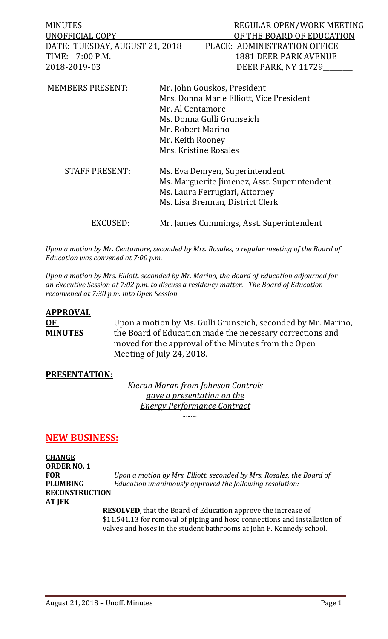| <b>MINUTES</b>                 | REGULAR OPEN/WORK MEETING    |
|--------------------------------|------------------------------|
| UNOFFICIAL COPY                | OF THE BOARD OF EDUCATION    |
| DATE: TUESDAY, AUGUST 21, 2018 | PLACE: ADMINISTRATION OFFICE |
| TIME: 7:00 P.M.                | 1881 DEER PARK AVENUE        |
| <u>2018-2019-03</u>            | DEER PARK, NY 11729          |
|                                |                              |

| <b>MEMBERS PRESENT:</b> | Mr. John Gouskos, President<br>Mrs. Donna Marie Elliott, Vice President<br>Mr. Al Centamore<br>Ms. Donna Gulli Grunseich<br>Mr. Robert Marino<br>Mr. Keith Rooney<br>Mrs. Kristine Rosales |
|-------------------------|--------------------------------------------------------------------------------------------------------------------------------------------------------------------------------------------|
| <b>STAFF PRESENT:</b>   | Ms. Eva Demyen, Superintendent<br>Ms. Marguerite Jimenez, Asst. Superintendent<br>Ms. Laura Ferrugiari, Attorney<br>Ms. Lisa Brennan, District Clerk                                       |
| EXCUSED:                | Mr. James Cummings, Asst. Superintendent                                                                                                                                                   |

*Upon a motion by Mr. Centamore, seconded by Mrs. Rosales, a regular meeting of the Board of Education was convened at 7:00 p.m.*

*Upon a motion by Mrs. Elliott, seconded by Mr. Marino, the Board of Education adjourned for an Executive Session at 7:02 p.m. to discuss a residency matter. The Board of Education reconvened at 7:30 p.m. into Open Session.* 

# **APPROVAL**

**OF** Upon a motion by Ms. Gulli Grunseich, seconded by Mr. Marino,<br>**MINUTES** the Board of Education made the necessary corrections and the Board of Education made the necessary corrections and moved for the approval of the Minutes from the Open Meeting of July 24, 2018.

## **PRESENTATION:**

*Kieran Moran from Johnson Controls gave a presentation on the Energy Performance Contract ~~~*

## **NEW BUSINESS:**

**CHANGE ORDER NO. 1 RECONSTRUCTION AT JFK**

**FOR** *Upon a motion by Mrs. Elliott, seconded by Mrs. Rosales, the Board of* **PLUMBING** *Education unanimously approved the following resolution:*

> **RESOLVED,** that the Board of Education approve the increase of \$11,541.13 for removal of piping and hose connections and installation of valves and hoses in the student bathrooms at John F. Kennedy school.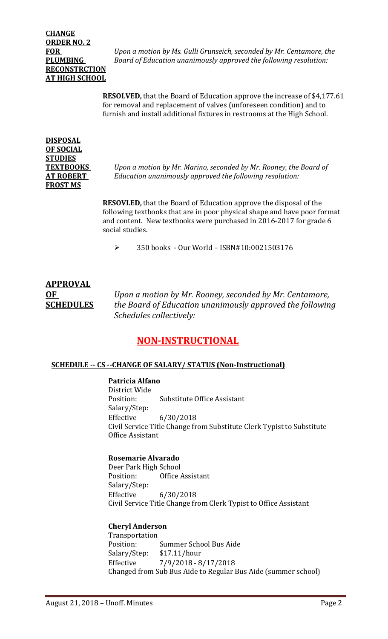## **CHANGE ORDER NO. 2 RECONSTRCTION AT HIGH SCHOOL**

**FOR** *Upon a motion by Ms. Gulli Grunseich, seconded by Mr. Centamore, the*  **PLUMBING** *Board of Education unanimously approved the following resolution:*

> **RESOLVED,** that the Board of Education approve the increase of \$4,177.61 for removal and replacement of valves (unforeseen condition) and to furnish and install additional fixtures in restrooms at the High School.

## **DISPOSAL OF SOCIAL STUDIES FROST MS**

**TEXTBOOKS** *Upon a motion by Mr. Marino, seconded by Mr. Rooney, the Board of*  **AT ROBERT** *Education unanimously approved the following resolution:*

> **RESOVLED,** that the Board of Education approve the disposal of the following textbooks that are in poor physical shape and have poor format and content. New textbooks were purchased in 2016-2017 for grade 6 social studies.

350 books - Our World – ISBN#10:0021503176

# **APPROVAL**

**OF** *Upon a motion by Mr. Rooney, seconded by Mr. Centamore,* **SCHEDULES** *the Board of Education unanimously approved the following Schedules collectively:*

## **NON-INSTRUCTIONAL**

## **SCHEDULE -- CS --CHANGE OF SALARY/ STATUS (Non-Instructional)**

## **Patricia Alfano**

District Wide<br>Position: **Substitute Office Assistant** Salary/Step:<br>Effective Effective 6/30/2018 Civil Service Title Change from Substitute Clerk Typist to Substitute Office Assistant

## **Rosemarie Alvarado**

Deer Park High School<br>Position: Office Office Assistant Salary/Step:<br>Effective Effective 6/30/2018 Civil Service Title Change from Clerk Typist to Office Assistant

#### **Cheryl Anderson**

Transportation<br>Position: Summer School Bus Aide<br>\$17.11/hour Salary/Step: Effective 7/9/2018 - 8/17/2018 Changed from Sub Bus Aide to Regular Bus Aide (summer school)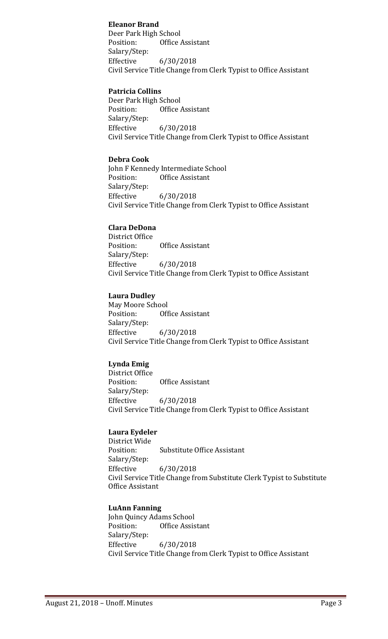## **Eleanor Brand**

Deer Park High School Position: Office Assistant Salary/Step: Effective 6/30/2018 Civil Service Title Change from Clerk Typist to Office Assistant

#### **Patricia Collins**

Deer Park High School<br>Position: Office Office Assistant Salary/Step:<br>Effective Effective 6/30/2018 Civil Service Title Change from Clerk Typist to Office Assistant

#### **Debra Cook**

John F Kennedy Intermediate School<br>Position: Office Assistant **Office Assistant** Salary/Step: Effective 6/30/2018 Civil Service Title Change from Clerk Typist to Office Assistant

#### **Clara DeDona**

District Office **Office Assistant** Salary/Step: Effective 6/30/2018 Civil Service Title Change from Clerk Typist to Office Assistant

#### **Laura Dudley**

May Moore School<br>Position: 0ff Office Assistant Salary/Step: Effective 6/30/2018 Civil Service Title Change from Clerk Typist to Office Assistant

## **Lynda Emig**

District Office<br>Position: **Office Assistant** Salary/Step: Effective 6/30/2018 Civil Service Title Change from Clerk Typist to Office Assistant

#### **Laura Eydeler**

District Wide<br>Position: Substitute Office Assistant Salary/Step: Effective 6/30/2018 Civil Service Title Change from Substitute Clerk Typist to Substitute Office Assistant

#### **LuAnn Fanning**

John Quincy Adams School<br>Position: Office Assis Office Assistant Salary/Step: Effective 6/30/2018 Civil Service Title Change from Clerk Typist to Office Assistant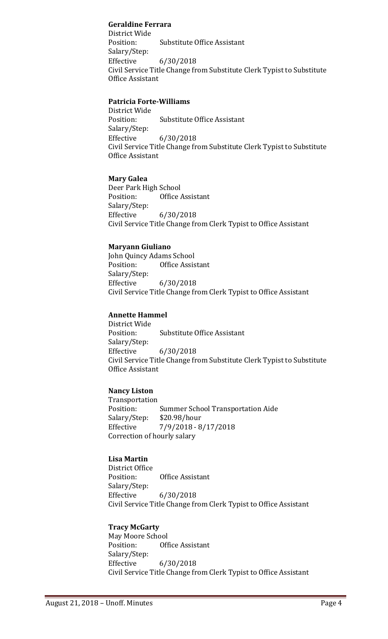## **Geraldine Ferrara**

District Wide Substitute Office Assistant Salary/Step: Effective 6/30/2018 Civil Service Title Change from Substitute Clerk Typist to Substitute Office Assistant

## **Patricia Forte-Williams**

District Wide **Substitute Office Assistant** Salary/Step: Effective 6/30/2018 Civil Service Title Change from Substitute Clerk Typist to Substitute Office Assistant

## **Mary Galea**

Deer Park High School<br>Position: Office **Office Assistant** Salary/Step: Effective 6/30/2018 Civil Service Title Change from Clerk Typist to Office Assistant

## **Maryann Giuliano**

John Quincy Adams School<br>Position: Office Assis **Office Assistant** Salary/Step:<br>Effective Effective 6/30/2018 Civil Service Title Change from Clerk Typist to Office Assistant

## **Annette Hammel**

District Wide **Substitute Office Assistant** Salary/Step:<br>Effective Effective 6/30/2018 Civil Service Title Change from Substitute Clerk Typist to Substitute Office Assistant

## **Nancy Liston**

Transportation Summer School Transportation Aide<br>\$20.98/hour Salary/Step:<br>Effective Effective 7/9/2018 - 8/17/2018 Correction of hourly salary

## **Lisa Martin**

District Office **Office Assistant** Salary/Step:<br>Effective Effective 6/30/2018 Civil Service Title Change from Clerk Typist to Office Assistant

## **Tracy McGarty**

May Moore School<br>Position: 0ff Office Assistant Salary/Step: Effective 6/30/2018 Civil Service Title Change from Clerk Typist to Office Assistant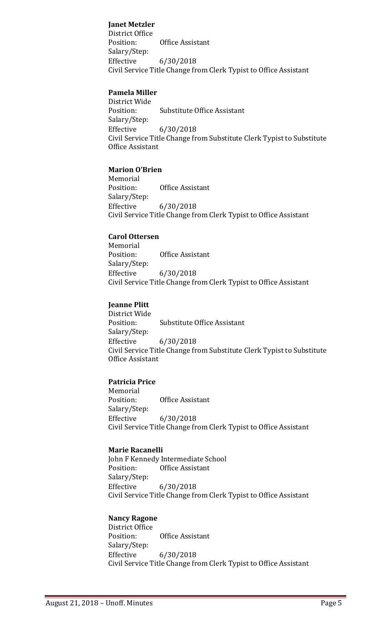## **Janet Metzler**

District Office Office Assistant Salary/Step: Effective 6/30/2018 Civil Service Title Change from Clerk Typist to Office Assistant

## **Pamela Miller**

District Wide<br>Position: **Substitute Office Assistant** Salary/Step: Effective 6/30/2018 Civil Service Title Change from Substitute Clerk Typist to Substitute Office Assistant

#### **Marion O'Brien**

Memorial<br>Position: **Office Assistant** Salary/Step:<br>Effective Effective 6/30/2018 Civil Service Title Change from Clerk Typist to Office Assistant

#### **Carol Ottersen**

Memorial<br>Position: **Office Assistant** Salary/Step:<br>Effective Effective 6/30/2018 Civil Service Title Change from Clerk Typist to Office Assistant

## **Jeanne Plitt**

District Wide Substitute Office Assistant Salary/Step:<br>Effective Effective 6/30/2018 Civil Service Title Change from Substitute Clerk Typist to Substitute Office Assistant

## **Patricia Price**

Memorial<br>Position: **Office Assistant** Salary/Step: Effective 6/30/2018 Civil Service Title Change from Clerk Typist to Office Assistant

#### **Marie Racanelli**

John F Kennedy Intermediate School<br>Position: Office Assistant Office Assistant Salary/Step:<br>Effective Effective 6/30/2018 Civil Service Title Change from Clerk Typist to Office Assistant

## **Nancy Ragone**

District Office<br>Position: Office Assistant Salary/Step: Effective 6/30/2018 Civil Service Title Change from Clerk Typist to Office Assistant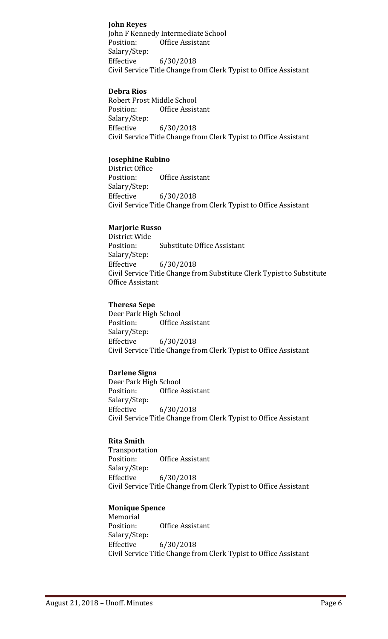## **John Reyes**

John F Kennedy Intermediate School<br>Position: Office Assistant Office Assistant Salary/Step: Effective 6/30/2018 Civil Service Title Change from Clerk Typist to Office Assistant

## **Debra Rios**

Robert Frost Middle School<br>Position: Office Assist **Office Assistant** Salary/Step:<br>Effective Effective 6/30/2018 Civil Service Title Change from Clerk Typist to Office Assistant

## **Josephine Rubino**

District Office<br>Position: **Office Assistant** Salary/Step: Effective 6/30/2018 Civil Service Title Change from Clerk Typist to Office Assistant

#### **Marjorie Russo**

District Wide<br>Position: **Substitute Office Assistant** Salary/Step: Effective 6/30/2018 Civil Service Title Change from Substitute Clerk Typist to Substitute Office Assistant

## **Theresa Sepe**

Deer Park High School<br>Position: Office Office Assistant Salary/Step:<br>Effective Effective 6/30/2018 Civil Service Title Change from Clerk Typist to Office Assistant

## **Darlene Signa**

Deer Park High School<br>Position: Office Office Assistant Salary/Step: Effective 6/30/2018 Civil Service Title Change from Clerk Typist to Office Assistant

## **Rita Smith**

Transportation Office Assistant Salary/Step:<br>Effective Effective 6/30/2018 Civil Service Title Change from Clerk Typist to Office Assistant

## **Monique Spence**

Memorial<br>Position: Office Assistant Salary/Step: Effective 6/30/2018 Civil Service Title Change from Clerk Typist to Office Assistant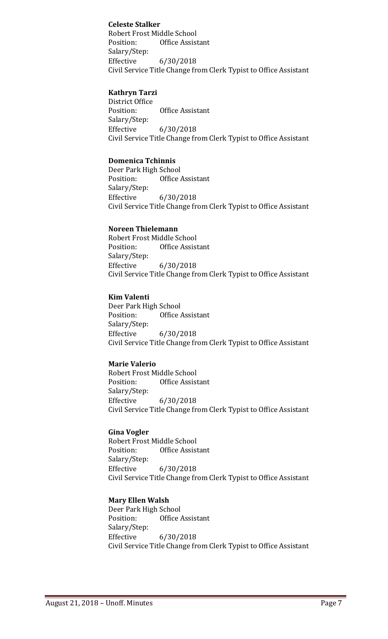## **Celeste Stalker**

Robert Frost Middle School Position: Office Assistant Salary/Step: Effective 6/30/2018 Civil Service Title Change from Clerk Typist to Office Assistant

## **Kathryn Tarzi**

District Office<br>Position: Office Assistant Salary/Step: Effective 6/30/2018 Civil Service Title Change from Clerk Typist to Office Assistant

## **Domenica Tchinnis**

Deer Park High School<br>Position: Office Office Assistant Salary/Step:  $6/30/2018$ Civil Service Title Change from Clerk Typist to Office Assistant

#### **Noreen Thielemann**

Robert Frost Middle School<br>Position: Office Assist Office Assistant Salary/Step: Effective 6/30/2018 Civil Service Title Change from Clerk Typist to Office Assistant

## **Kim Valenti**

Deer Park High School<br>Position: Office Office Assistant Salary/Step: Effective 6/30/2018 Civil Service Title Change from Clerk Typist to Office Assistant

## **Marie Valerio**

Robert Frost Middle School<br>Position: Office Assist **Office Assistant** Salary/Step: Effective 6/30/2018 Civil Service Title Change from Clerk Typist to Office Assistant

#### **Gina Vogler**

Robert Frost Middle School<br>Position: Office Assist Office Assistant Salary/Step: Effective 6/30/2018 Civil Service Title Change from Clerk Typist to Office Assistant

## **Mary Ellen Walsh**

Deer Park High School<br>Position: Office *F* Office Assistant Salary/Step:<br>Effective Effective 6/30/2018 Civil Service Title Change from Clerk Typist to Office Assistant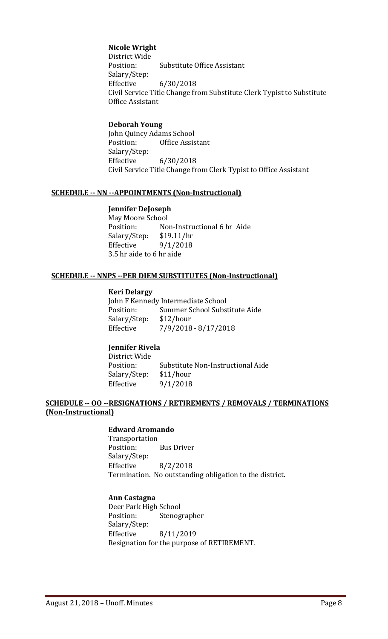#### **Nicole Wright**

District Wide<br>Position: **Substitute Office Assistant** Salary/Step: Effective 6/30/2018 Civil Service Title Change from Substitute Clerk Typist to Substitute Office Assistant

#### **Deborah Young**

John Quincy Adams School<br>Position: Office Assis Office Assistant Salary/Step: Effective 6/30/2018 Civil Service Title Change from Clerk Typist to Office Assistant

#### **SCHEDULE -- NN --APPOINTMENTS (Non-Instructional)**

#### **Jennifer DeJoseph**

May Moore School<br>Position: No Non-Instructional 6 hr Aide<br>\$19.11/hr Salary/Step:<br>Effective  $9/1/2018$ 3.5 hr aide to 6 hr aide

#### **SCHEDULE -- NNPS --PER DIEM SUBSTITUTES (Non-Instructional)**

#### **Keri Delargy**

John F Kennedy Intermediate School<br>Position: Summer School Subs Summer School Substitute Aide<br>\$12/hour Salary/Step:<br>Effective Effective 7/9/2018 - 8/17/2018

## **Jennifer Rivela**

District Wide Substitute Non-Instructional Aide<br>\$11/hour Salary/Step:<br>Effective  $9/1/2018$ 

#### **SCHEDULE -- OO --RESIGNATIONS / RETIREMENTS / REMOVALS / TERMINATIONS (Non-Instructional)**

#### **Edward Aromando**

Transportation **Bus Driver** Salary/Step:<br>Effective  $8/2/2018$ Termination. No outstanding obligation to the district.

#### **Ann Castagna**

Deer Park High School<br>Position: Stenog Stenographer Salary/Step:<br>Effective Effective 8/11/2019 Resignation for the purpose of RETIREMENT.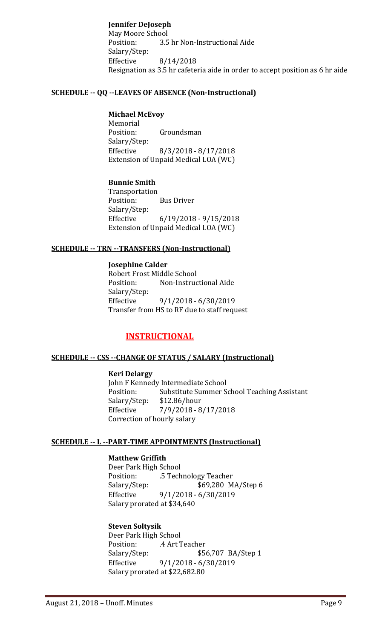**Jennifer DeJoseph** May Moore School<br>Position: 3.5 3.5 hr Non-Instructional Aide Salary/Step: Effective 8/14/2018 Resignation as 3.5 hr cafeteria aide in order to accept position as 6 hr aide

## **SCHEDULE -- QQ --LEAVES OF ABSENCE (Non-Instructional)**

## **Michael McEvoy**

Memorial<br>Position: Groundsman Salary/Step: Effective 8/3/2018 - 8/17/2018 Extension of Unpaid Medical LOA (WC)

#### **Bunnie Smith**

Transportation<br>Position: **Bus Driver** Salary/Step: Effective 6/19/2018 - 9/15/2018 Extension of Unpaid Medical LOA (WC)

#### **SCHEDULE -- TRN --TRANSFERS (Non-Instructional)**

**Josephine Calder** Robert Frost Middle School<br>Position: Non-Instruc Non-Instructional Aide Salary/Step:<br>Effective Effective 9/1/2018 - 6/30/2019 Transfer from HS to RF due to staff request

## **INSTRUCTIONAL**

#### **SCHEDULE -- CSS --CHANGE OF STATUS / SALARY (Instructional)**

#### **Keri Delargy**

John F Kennedy Intermediate School<br>Position: Substitute Summer S Substitute Summer School Teaching Assistant<br>\$12.86/hour Salary/Step:<br>Effective  $7/9/2018 - 8/17/2018$ Correction of hourly salary

#### **SCHEDULE -- L --PART-TIME APPOINTMENTS (Instructional)**

## **Matthew Griffith**

Deer Park High School<br>Position: 5 Tech Position: .5 Technology Teacher Salary/Step: \$69,280 MA/Step 6<br>Effective 9/1/2018 - 6/30/2019 Effective 9/1/2018 - 6/30/2019 Salary prorated at \$34,640

#### **Steven Soltysik**

Deer Park High School<br>Position: 4 Art T Position: .4 Art Teacher<br>Salary/Step: \$56 \$56,707 BA/Step 1 Effective 9/1/2018 - 6/30/2019 Salary prorated at \$22,682.80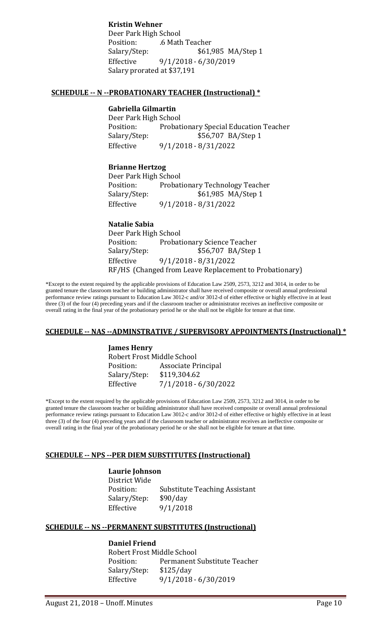**Kristin Wehner** Deer Park High School Position: .6 Math Teacher<br>Salary/Step: \$61,9 \$61,985 MA/Step 1 Effective 9/1/2018 - 6/30/2019 Salary prorated at \$37,191

#### **SCHEDULE -- N --PROBATIONARY TEACHER (Instructional) \***

## **Gabriella Gilmartin**

Deer Park High School<br>Position: Probat Position: Probationary Special Education Teacher<br>Salary/Step: \$56,707 BA/Step 1 \$56,707 BA/Step 1 Effective 9/1/2018 - 8/31/2022

## **Brianne Hertzog**

Deer Park High School Position: Probationary Technology Teacher<br>Salary/Step: \$61,985 MA/Step 1 \$61,985 MA/Step 1 Effective 9/1/2018 - 8/31/2022

#### **Natalie Sabia**

Deer Park High School<br>Position: Probat Position: Probationary Science Teacher<br>Salary/Step: \$56,707 BA/Step \$56,707 BA/Step 1 Effective 9/1/2018 - 8/31/2022 RF/HS (Changed from Leave Replacement to Probationary)

\*Except to the extent required by the applicable provisions of Education Law 2509, 2573, 3212 and 3014, in order to be granted tenure the classroom teacher or building administrator shall have received composite or overall annual professional performance review ratings pursuant to Education Law 3012-c and/or 3012-d of either effective or highly effective in at least three (3) of the four (4) preceding years and if the classroom teacher or administrator receives an ineffective composite or overall rating in the final year of the probationary period he or she shall not be eligible for tenure at that time.

#### **SCHEDULE -- NAS --ADMINSTRATIVE / SUPERVISORY APPOINTMENTS (Instructional) \***

**James Henry** Robert Frost Middle School<br>Position: Associate Pr Associate Principal<br>\$119,304.62 Salary/Step:<br>Effective Effective 7/1/2018 - 6/30/2022

\*Except to the extent required by the applicable provisions of Education Law 2509, 2573, 3212 and 3014, in order to be granted tenure the classroom teacher or building administrator shall have received composite or overall annual professional performance review ratings pursuant to Education Law 3012-c and/or 3012-d of either effective or highly effective in at least three (3) of the four (4) preceding years and if the classroom teacher or administrator receives an ineffective composite or overall rating in the final year of the probationary period he or she shall not be eligible for tenure at that time.

#### **SCHEDULE -- NPS --PER DIEM SUBSTITUTES (Instructional)**

#### **Laurie Johnson**

District Wide<br>Position: Substitute Teaching Assistant<br>\$90/day Salary/Step:<br>Effective 9/1/2018

#### **SCHEDULE -- NS --PERMANENT SUBSTITUTES (Instructional)**

#### **Daniel Friend**

Robert Frost Middle School<br>Position: Permanent : Permanent Substitute Teacher<br>\$125/day Salary/Step:<br>Effective Effective 9/1/2018 - 6/30/2019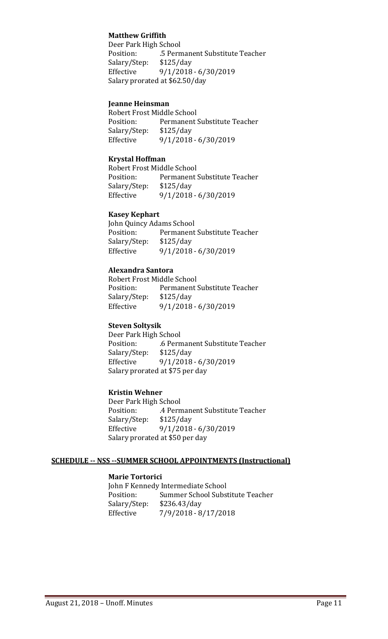## **Matthew Griffith**

Deer Park High School<br>Position: 5 Perm .5 Permanent Substitute Teacher<br>\$125/day Salary/Step:<br>Effective Effective 9/1/2018 - 6/30/2019 Salary prorated at \$62.50/day

#### **Jeanne Heinsman**

Robert Frost Middle School<br>Position: Permanent Permanent Substitute Teacher Salary/Step: \$125/day<br>Effective 9/1/2018 Effective 9/1/2018 - 6/30/2019

#### **Krystal Hoffman**

Robert Frost Middle School<br>Position: Permanent : Permanent Substitute Teacher<br>\$125/day Salary/Step: Effective 9/1/2018 - 6/30/2019

#### **Kasey Kephart**

John Quincy Adams School<br>Position: Permanent Permanent Substitute Teacher<br>\$125/day Salary/Step:<br>Effective Effective 9/1/2018 - 6/30/2019

#### **Alexandra Santora**

Robert Frost Middle School<br>Position: Permanent: Permanent Substitute Teacher<br>\$125/day Salary/Step: Effective 9/1/2018 - 6/30/2019

#### **Steven Soltysik**

Deer Park High School<br>Position: 6 Pern .6 Permanent Substitute Teacher<br>\$125/day Salary/Step:<br>Effective Effective 9/1/2018 - 6/30/2019 Salary prorated at \$75 per day

#### **Kristin Wehner**

Deer Park High School<br>Position: 4 Perm .4 Permanent Substitute Teacher<br>\$125/day Salary/Step:<br>Effective Effective 9/1/2018 - 6/30/2019 Salary prorated at \$50 per day

## **SCHEDULE -- NSS --SUMMER SCHOOL APPOINTMENTS (Instructional)**

## **Marie Tortorici**

John F Kennedy Intermediate School<br>Position: Summer School Subs Summer School Substitute Teacher<br>\$236.43/day Salary/Step:<br>Effective Effective 7/9/2018 - 8/17/2018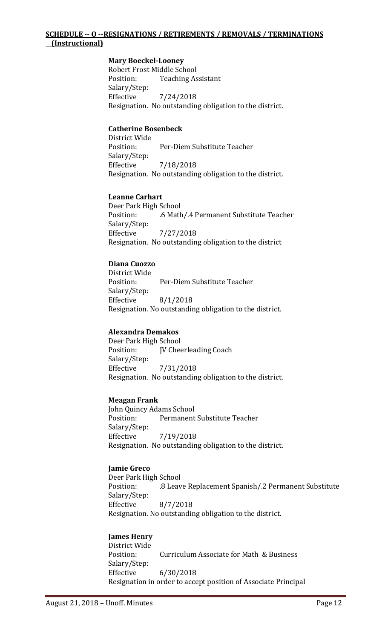## **SCHEDULE -- O --RESIGNATIONS / RETIREMENTS / REMOVALS / TERMINATIONS (Instructional)**

#### **Mary Boeckel-Looney**

Robert Frost Middle School<br>Position: Teaching As **Teaching Assistant** Salary/Step: Effective 7/24/2018 Resignation. No outstanding obligation to the district.

#### **Catherine Bosenbeck**

District Wide Per-Diem Substitute Teacher Salary/Step: Effective 7/18/2018 Resignation. No outstanding obligation to the district.

#### **Leanne Carhart**

Deer Park High School .6 Math/.4 Permanent Substitute Teacher Salary/Step: Effective 7/27/2018 Resignation. No outstanding obligation to the district

#### **Diana Cuozzo**

District Wide Per-Diem Substitute Teacher Salary/Step: Effective 8/1/2018 Resignation. No outstanding obligation to the district.

## **Alexandra Demakos**

Deer Park High School<br>Position: **IV** Chee JV Cheerleading Coach Salary/Step: Effective 7/31/2018 Resignation. No outstanding obligation to the district.

#### **Meagan Frank**

John Quincy Adams School<br>Position: Permanent Permanent Substitute Teacher Salary/Step: Effective 7/19/2018 Resignation. No outstanding obligation to the district.

#### **Jamie Greco**

Deer Park High School .8 Leave Replacement Spanish/.2 Permanent Substitute Salary/Step: Effective 8/7/2018 Resignation. No outstanding obligation to the district.

#### **James Henry**

District Wide Curriculum Associate for Math & Business Salary/Step: Effective 6/30/2018 Resignation in order to accept position of Associate Principal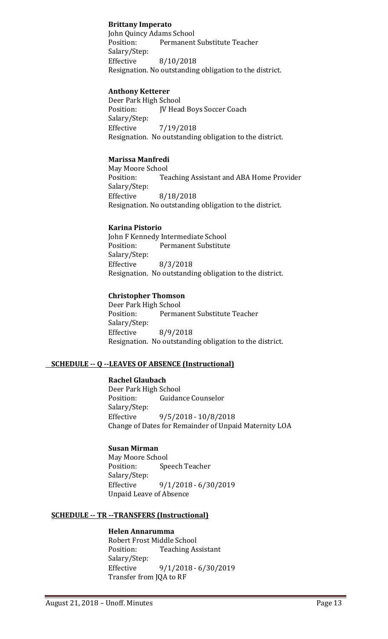## **Brittany Imperato**

John Quincy Adams School<br>Position: Permanent Permanent Substitute Teacher Salary/Step: Effective 8/10/2018 Resignation. No outstanding obligation to the district.

## **Anthony Ketterer**

Deer Park High School<br>Position: [V Head JV Head Boys Soccer Coach Salary/Step: Effective 7/19/2018 Resignation. No outstanding obligation to the district.

## **Marissa Manfredi**

May Moore School<br>Position: Tea Teaching Assistant and ABA Home Provider Salary/Step:<br>Effective Effective 8/18/2018 Resignation. No outstanding obligation to the district.

#### **Karina Pistorio**

John F Kennedy Intermediate School<br>Position: Permanent Substitute Permanent Substitute Salary/Step: Effective 8/3/2018 Resignation. No outstanding obligation to the district.

#### **Christopher Thomson**

Deer Park High School<br>Position: Permai Permanent Substitute Teacher Salary/Step: Effective 8/9/2018 Resignation. No outstanding obligation to the district.

## **SCHEDULE -- Q --LEAVES OF ABSENCE (Instructional)**

## **Rachel Glaubach**

Deer Park High School<br>Position: Guidan **Guidance Counselor** Salary/Step: Effective 9/5/2018 - 10/8/2018 Change of Dates for Remainder of Unpaid Maternity LOA

#### **Susan Mirman**

May Moore School<br>Position: Spe Speech Teacher Salary/Step: Effective 9/1/2018 - 6/30/2019 Unpaid Leave of Absence

## **SCHEDULE -- TR --TRANSFERS (Instructional)**

## **Helen Annarumma**

Robert Frost Middle School<br>Position: Teaching As **Teaching Assistant** Salary/Step: Effective 9/1/2018 - 6/30/2019 Transfer from JQA to RF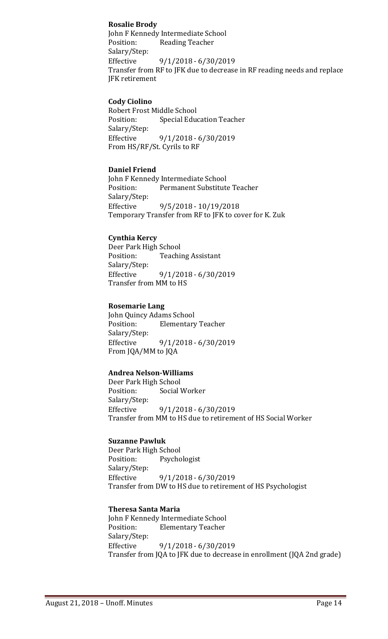## **Rosalie Brody**

John F Kennedy Intermediate School Position: Reading Teacher Salary/Step: Effective 9/1/2018 - 6/30/2019 Transfer from RF to JFK due to decrease in RF reading needs and replace JFK retirement

## **Cody Ciolino**

Robert Frost Middle School **Special Education Teacher** Salary/Step: Effective 9/1/2018 - 6/30/2019 From HS/RF/St. Cyrils to RF

#### **Daniel Friend**

John F Kennedy Intermediate School<br>Position: Permanent Substitute Permanent Substitute Teacher Salary/Step:<br>Effective Effective 9/5/2018 - 10/19/2018 Temporary Transfer from RF to JFK to cover for K. Zuk

#### **Cynthia Kercy**

Deer Park High School<br>Position: Teachii **Teaching Assistant** Salary/Step:<br>Effective Effective 9/1/2018 - 6/30/2019 Transfer from MM to HS

#### **Rosemarie Lang**

John Quincy Adams School **Elementary Teacher** Salary/Step: Effective 9/1/2018 - 6/30/2019 From JQA/MM to JQA

## **Andrea Nelson-Williams**

Deer Park High School<br>Position: Social V Social Worker Salary/Step:<br>Effective Effective 9/1/2018 - 6/30/2019 Transfer from MM to HS due to retirement of HS Social Worker

#### **Suzanne Pawluk**

Deer Park High School<br>Position: Psycho Psychologist Salary/Step:<br>Effective Effective 9/1/2018 - 6/30/2019 Transfer from DW to HS due to retirement of HS Psychologist

#### **Theresa Santa Maria**

John F Kennedy Intermediate School<br>Position: Elementary Teacher **Elementary Teacher** Salary/Step:<br>Effective Effective 9/1/2018 - 6/30/2019 Transfer from JQA to JFK due to decrease in enrollment (JQA 2nd grade)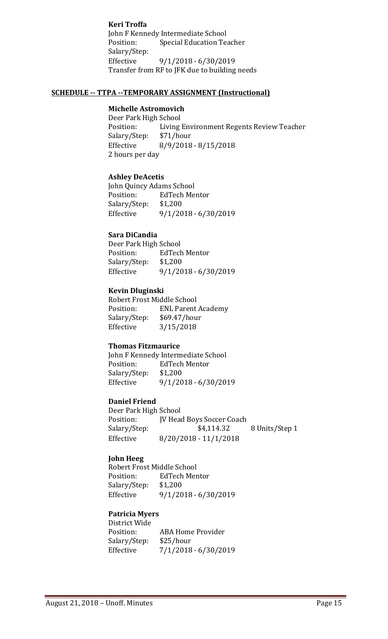**Keri Troffa** John F Kennedy Intermediate School<br>Position: Special Education Te Special Education Teacher Salary/Step:<br>Effective Effective 9/1/2018 - 6/30/2019 Transfer from RF to JFK due to building needs

#### **SCHEDULE -- TTPA --TEMPORARY ASSIGNMENT (Instructional)**

## **Michelle Astromovich**

Deer Park High School<br>Position: Living Living Environment Regents Review Teacher<br>\$71/hour Salary/Step: Effective 8/9/2018 - 8/15/2018 2 hours per day

#### **Ashley DeAcetis**

John Quincy Adams School EdTech Mentor<br>\$1,200 Salary/Step:<br>Effective Effective 9/1/2018 - 6/30/2019

## **Sara DiCandia**

Deer Park High School<br>Position: EdTecl EdTech Mentor<br>\$1,200 Salary/Step:<br>Effective Effective 9/1/2018 - 6/30/2019

## **Kevin Dluginski**

Robert Frost Middle School<br>Position: ENL Parent ENL Parent Academy<br>\$69.47/hour Salary/Step:<br>Effective  $3/15/2018$ 

#### **Thomas Fitzmaurice**

John F Kennedy Intermediate School<br>Position: EdTech Mentor EdTech Mentor<br>\$1,200 Salary/Step:<br>Effective Effective 9/1/2018 - 6/30/2019

## **Daniel Friend**

Deer Park High School Position: JV Head Boys Soccer Coach<br>Salary/Step: \$4,114.32 8 Units/Step 1 Effective 8/20/2018 - 11/1/2018

## **John Heeg**

Robert Frost Middle School<br>Position: EdTech Mer EdTech Mentor<br>\$1,200 Salary/Step:<br>Effective Effective 9/1/2018 - 6/30/2019

## **Patricia Myers**

District Wide ABA Home Provider<br>\$25/hour Salary/Step:<br>Effective  $7/1/2018 - 6/30/2019$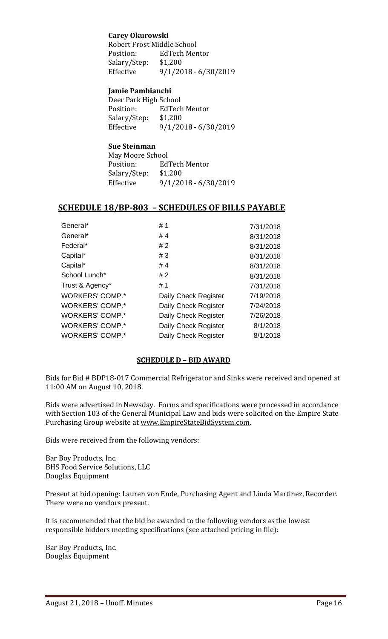## **Carey Okurowski**

Robert Frost Middle School<br>Position: EdTech Men EdTech Mentor<br>\$1.200 Salary/Step:<br>Effective Effective 9/1/2018 - 6/30/2019

## **Jamie Pambianchi**

| Deer Park High School  |
|------------------------|
| EdTech Mentor          |
| \$1,200                |
| $9/1/2018 - 6/30/2019$ |
|                        |

## **Sue Steinman**

| May Moore School |                        |
|------------------|------------------------|
| Position:        | EdTech Mentor          |
| Salary/Step:     | \$1,200                |
| Effective        | $9/1/2018 - 6/30/2019$ |

## **SCHEDULE 18/BP-803 – SCHEDULES OF BILLS PAYABLE**

| General*        | #1                   | 7/31/2018 |
|-----------------|----------------------|-----------|
| General*        | #4                   | 8/31/2018 |
| Federal*        | #2                   | 8/31/2018 |
| Capital*        | #3                   | 8/31/2018 |
| Capital*        | #4                   | 8/31/2018 |
| School Lunch*   | #2                   | 8/31/2018 |
| Trust & Agency* | #1                   | 7/31/2018 |
| WORKERS' COMP.* | Daily Check Register | 7/19/2018 |
| WORKERS' COMP.* | Daily Check Register | 7/24/2018 |
| WORKERS' COMP.* | Daily Check Register | 7/26/2018 |
| WORKERS' COMP.* | Daily Check Register | 8/1/2018  |
| WORKERS' COMP.* | Daily Check Register | 8/1/2018  |
|                 |                      |           |

## **SCHEDULE D – BID AWARD**

Bids for Bid # BDP18-017 Commercial Refrigerator and Sinks were received and opened at 11:00 AM on August 10, 2018.

Bids were advertised in Newsday. Forms and specifications were processed in accordance with Section 103 of the General Municipal Law and bids were solicited on the Empire State Purchasing Group website at [www.EmpireStateBidSystem.com.](http://www.empirestatebidsystem.com/)

Bids were received from the following vendors:

Bar Boy Products, Inc. BHS Food Service Solutions, LLC Douglas Equipment

Present at bid opening: Lauren von Ende, Purchasing Agent and Linda Martinez, Recorder. There were no vendors present.

It is recommended that the bid be awarded to the following vendors as the lowest responsible bidders meeting specifications (see attached pricing in file):

Bar Boy Products, Inc. Douglas Equipment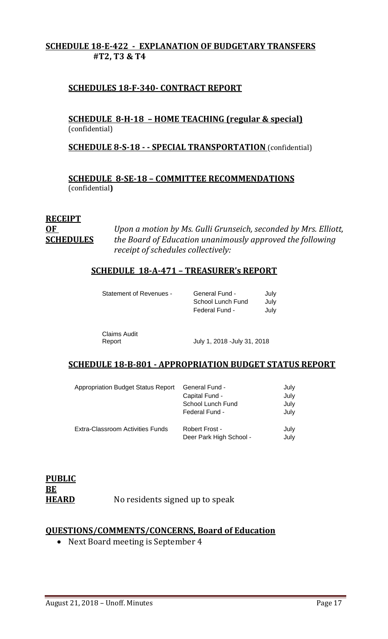## **SCHEDULE 18-E-422 - EXPLANATION OF BUDGETARY TRANSFERS #T2, T3 & T4**

## **SCHEDULES 18-F-340- CONTRACT REPORT**

**SCHEDULE 8-H-18 – HOME TEACHING (regular & special)** (confidential)

## **SCHEDULE 8-S-18 - - SPECIAL TRANSPORTATION** (confidential)

**SCHEDULE 8-SE-18 – COMMITTEE RECOMMENDATIONS** (confidential**)**

## **RECEIPT**

**OF** *Upon a motion by Ms. Gulli Grunseich, seconded by Mrs. Elliott,*  **SCHEDULES** *the Board of Education unanimously approved the following receipt of schedules collectively:*

## **SCHEDULE 18-A-471 – TREASURER's REPORT**

| Statement of Revenues - | General Fund -    | Julv |
|-------------------------|-------------------|------|
|                         | School Lunch Fund | Julv |
|                         | Federal Fund -    | Julv |

Claims Audit

July 1, 2018 -July 31, 2018

## **SCHEDULE 18-B-801 - APPROPRIATION BUDGET STATUS REPORT**

| <b>Appropriation Budget Status Report</b> | <b>General Fund -</b><br>Capital Fund -<br>School Lunch Fund<br>Federal Fund - | July<br>July<br>July<br>July |
|-------------------------------------------|--------------------------------------------------------------------------------|------------------------------|
| Extra-Classroom Activities Funds          | Robert Frost -<br>Deer Park High School -                                      | July<br>July                 |

| <b>PUBLIC</b> |                                 |
|---------------|---------------------------------|
| BE            |                                 |
| <b>HEARD</b>  | No residents signed up to speak |

## **QUESTIONS/COMMENTS/CONCERNS, Board of Education**

• Next Board meeting is September 4